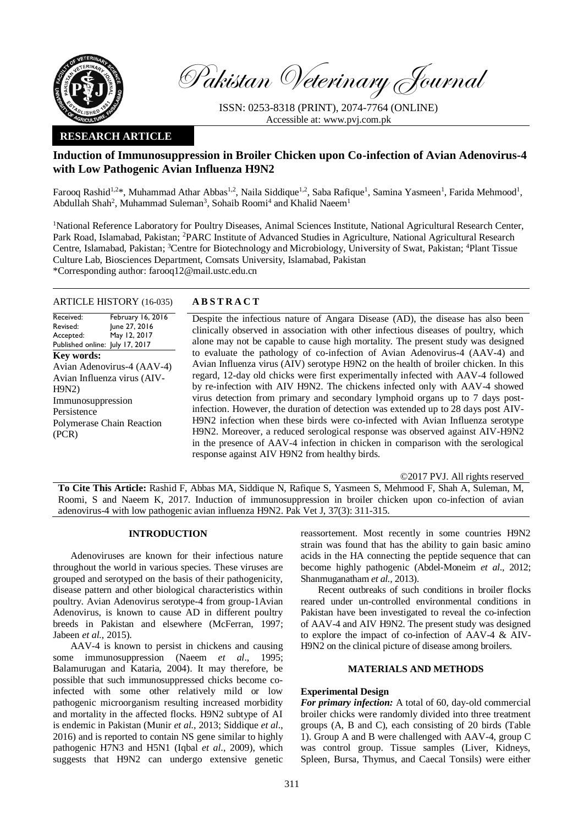

Pakistan Veterinary Journal

ISSN: 0253-8318 (PRINT), 2074-7764 (ONLINE) Accessible at: [www.pvj.com.pk](http://www.pvj.com.pk/)

## **RESEARCH ARTICLE**

# **Induction of Immunosuppression in Broiler Chicken upon Co-infection of Avian Adenovirus-4 with Low Pathogenic Avian Influenza H9N2**

Farooq Rashid<sup>1,2\*</sup>, Muhammad Athar Abbas<sup>1,2</sup>, Naila Siddique<sup>1,2</sup>, Saba Rafique<sup>1</sup>, Samina Yasmeen<sup>1</sup>, Farida Mehmood<sup>1</sup>, Abdullah Shah<sup>2</sup>, Muhammad Suleman<sup>3</sup>, Sohaib Roomi<sup>4</sup> and Khalid Naeem<sup>1</sup>

<sup>1</sup>National Reference Laboratory for Poultry Diseases, Animal Sciences Institute, National Agricultural Research Center, Park Road, Islamabad, Pakistan; <sup>2</sup>PARC Institute of Advanced Studies in Agriculture, National Agricultural Research Centre, Islamabad, Pakistan; <sup>3</sup>Centre for Biotechnology and Microbiology, University of Swat, Pakistan; <sup>4</sup>Plant Tissue Culture Lab, Biosciences Department, Comsats University, Islamabad, Pakistan \*Corresponding author: farooq12@mail.ustc.edu.cn

### ARTICLE HISTORY (16-035) **A B S T R A C T**

Received: Revised: Accepted: Published online: July 17, 2017 February 16, 2016 June 27, 2016 May 12, 2017 **Key words:**  Avian Adenovirus-4 (AAV-4) Avian Influenza virus (AIV-H9N2) Immunosuppression Persistence Polymerase Chain Reaction (PCR)

Despite the infectious nature of Angara Disease (AD), the disease has also been clinically observed in association with other infectious diseases of poultry, which alone may not be capable to cause high mortality. The present study was designed to evaluate the pathology of co-infection of Avian Adenovirus-4 (AAV-4) and Avian Influenza virus (AIV) serotype H9N2 on the health of broiler chicken. In this regard, 12-day old chicks were first experimentally infected with AAV-4 followed by re-infection with AIV H9N2. The chickens infected only with AAV-4 showed virus detection from primary and secondary lymphoid organs up to 7 days postinfection. However, the duration of detection was extended up to 28 days post AIV-H9N2 infection when these birds were co-infected with Avian Influenza serotype H9N2. Moreover, a reduced serological response was observed against AIV-H9N2 in the presence of AAV-4 infection in chicken in comparison with the serological response against AIV H9N2 from healthy birds.

©2017 PVJ. All rights reserved

**To Cite This Article:** Rashid F, Abbas MA, Siddique N, Rafique S, Yasmeen S, Mehmood F, Shah A, Suleman, M, Roomi, S and Naeem K, 2017. Induction of immunosuppression in broiler chicken upon co-infection of avian adenovirus-4 with low pathogenic avian influenza H9N2. Pak Vet J, 37(3): 311-315.

## **INTRODUCTION**

Adenoviruses are known for their infectious nature throughout the world in various species. These viruses are grouped and serotyped on the basis of their pathogenicity, disease pattern and other biological characteristics within poultry. Avian Adenovirus serotype-4 from group-1Avian Adenovirus, is known to cause AD in different poultry breeds in Pakistan and elsewhere (McFerran, 1997; Jabeen *et al.*, 2015).

AAV-4 is known to persist in chickens and causing some immunosuppression (Naeem *et al*., 1995; Balamurugan and Kataria, 2004). It may therefore, be possible that such immunosuppressed chicks become coinfected with some other relatively mild or low pathogenic microorganism resulting increased morbidity and mortality in the affected flocks. H9N2 subtype of AI is endemic in Pakistan (Munir *et al.*, 2013; Siddique *et al*., 2016) and is reported to contain NS gene similar to highly pathogenic H7N3 and H5N1 (Iqbal *et al*., 2009), which suggests that H9N2 can undergo extensive genetic reassortement. Most recently in some countries H9N2 strain was found that has the ability to gain basic amino acids in the HA connecting the peptide sequence that can become highly pathogenic (Abdel-Moneim *et al*., 2012; Shanmuganatham *et al.,* 2013).

Recent outbreaks of such conditions in broiler flocks reared under un-controlled environmental conditions in Pakistan have been investigated to reveal the co-infection of AAV-4 and AIV H9N2. The present study was designed to explore the impact of co-infection of AAV-4 & AIV-H9N2 on the clinical picture of disease among broilers.

## **MATERIALS AND METHODS**

## **Experimental Design**

*For primary infection:* A total of 60, day-old commercial broiler chicks were randomly divided into three treatment groups (A, B and C), each consisting of 20 birds (Table 1). Group A and B were challenged with AAV-4, group C was control group. Tissue samples (Liver, Kidneys, Spleen, Bursa, Thymus, and Caecal Tonsils) were either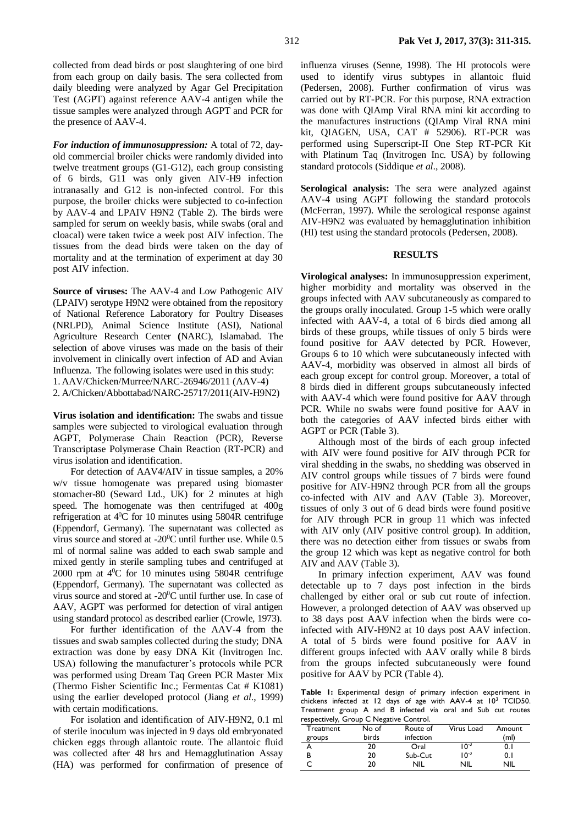collected from dead birds or post slaughtering of one bird from each group on daily basis. The sera collected from daily bleeding were analyzed by Agar Gel Precipitation Test (AGPT) against reference AAV-4 antigen while the tissue samples were analyzed through AGPT and PCR for the presence of AAV-4.

*For induction of immunosuppression:* A total of 72, dayold commercial broiler chicks were randomly divided into twelve treatment groups (G1-G12), each group consisting of 6 birds, G11 was only given AIV-H9 infection intranasally and G12 is non-infected control. For this purpose, the broiler chicks were subjected to co-infection by AAV-4 and LPAIV H9N2 (Table 2). The birds were sampled for serum on weekly basis, while swabs (oral and cloacal) were taken twice a week post AIV infection. The tissues from the dead birds were taken on the day of mortality and at the termination of experiment at day 30 post AIV infection.

**Source of viruses:** The AAV-4 and Low Pathogenic AIV (LPAIV) serotype H9N2 were obtained from the repository of National Reference Laboratory for Poultry Diseases (NRLPD), Animal Science Institute (ASI), National Agriculture Research Center **(**NARC), Islamabad. The selection of above viruses was made on the basis of their involvement in clinically overt infection of AD and Avian Influenza. The following isolates were used in this study: 1. AAV/Chicken/Murree/NARC-26946/2011 (AAV-4) 2. A/Chicken/Abbottabad/NARC-25717/2011(AIV-H9N2)

**Virus isolation and identification:** The swabs and tissue samples were subjected to virological evaluation through AGPT, Polymerase Chain Reaction (PCR), Reverse Transcriptase Polymerase Chain Reaction (RT-PCR) and virus isolation and identification.

For detection of AAV4/AIV in tissue samples, a 20% w/v tissue homogenate was prepared using biomaster stomacher-80 (Seward Ltd., UK) for 2 minutes at high speed. The homogenate was then centrifuged at 400g refrigeration at  $4^{\circ}$ C for 10 minutes using 5804R centrifuge (Eppendorf, Germany). The supernatant was collected as virus source and stored at -20<sup>0</sup>C until further use. While 0.5 ml of normal saline was added to each swab sample and mixed gently in sterile sampling tubes and centrifuged at 2000 rpm at  $4^{\circ}$ C for 10 minutes using 5804R centrifuge (Eppendorf, Germany). The supernatant was collected as virus source and stored at -20<sup>0</sup>C until further use. In case of AAV, AGPT was performed for detection of viral antigen using standard protocol as described earlier (Crowle, 1973).

For further identification of the AAV-4 from the tissues and swab samples collected during the study; DNA extraction was done by easy DNA Kit (Invitrogen Inc. USA) following the manufacturer's protocols while PCR was performed using Dream Taq Green PCR Master Mix (Thermo Fisher Scientific Inc.; Fermentas Cat # K1081) using the earlier developed protocol (Jiang *et al*., 1999) with certain modifications.

For isolation and identification of AIV-H9N2, 0.1 ml of sterile inoculum was injected in 9 days old embryonated chicken eggs through allantoic route. The allantoic fluid was collected after 48 hrs and Hemagglutination Assay (HA) was performed for confirmation of presence of influenza viruses (Senne, 1998). The HI protocols were used to identify virus subtypes in allantoic fluid (Pedersen, 2008). Further confirmation of virus was carried out by RT-PCR. For this purpose, RNA extraction was done with QIAmp Viral RNA mini kit according to the manufactures instructions (QIAmp Viral RNA mini kit, QIAGEN, USA, CAT # 52906). RT-PCR was performed using Superscript-II One Step RT-PCR Kit with Platinum Taq (Invitrogen Inc. USA) by following standard protocols (Siddique *et al*., 2008).

**Serological analysis:** The sera were analyzed against AAV-4 using AGPT following the standard protocols (McFerran, 1997). While the serological response against AIV-H9N2 was evaluated by hemagglutination inhibition (HI) test using the standard protocols (Pedersen, 2008).

#### **RESULTS**

**Virological analyses:** In immunosuppression experiment, higher morbidity and mortality was observed in the groups infected with AAV subcutaneously as compared to the groups orally inoculated. Group 1-5 which were orally infected with AAV-4, a total of 6 birds died among all birds of these groups, while tissues of only 5 birds were found positive for AAV detected by PCR. However, Groups 6 to 10 which were subcutaneously infected with AAV-4, morbidity was observed in almost all birds of each group except for control group. Moreover, a total of 8 birds died in different groups subcutaneously infected with AAV-4 which were found positive for AAV through PCR. While no swabs were found positive for AAV in both the categories of AAV infected birds either with AGPT or PCR (Table 3).

Although most of the birds of each group infected with AIV were found positive for AIV through PCR for viral shedding in the swabs, no shedding was observed in AIV control groups while tissues of 7 birds were found positive for AIV-H9N2 through PCR from all the groups co-infected with AIV and AAV (Table 3). Moreover, tissues of only 3 out of 6 dead birds were found positive for AIV through PCR in group 11 which was infected with AIV only (AIV positive control group). In addition, there was no detection either from tissues or swabs from the group 12 which was kept as negative control for both AIV and AAV (Table 3).

In primary infection experiment, AAV was found detectable up to 7 days post infection in the birds challenged by either oral or sub cut route of infection. However, a prolonged detection of AAV was observed up to 38 days post AAV infection when the birds were coinfected with AIV-H9N2 at 10 days post AAV infection. A total of 5 birds were found positive for AAV in different groups infected with AAV orally while 8 birds from the groups infected subcutaneously were found positive for AAV by PCR (Table 4).

**Table 1:** Experimental design of primary infection experiment in chickens infected at 12 days of age with AAV-4 at  $10^3$  TCID50. Treatment group A and B infected via oral and Sub cut routes respectively, Group C Negative Control.

| respectively, Group C inegative Control. |       |            |            |        |
|------------------------------------------|-------|------------|------------|--------|
| Treatment                                | No of | Route of   | Virus Load | Amount |
| groups                                   | birds | infection  |            | (ml)   |
|                                          | 20    | Oral       | $10^{-3}$  | 0. I   |
| в                                        | 20    | Sub-Cut    | $10^{-3}$  | 0. I   |
|                                          | 20    | <b>NIL</b> | NIL        | NIL    |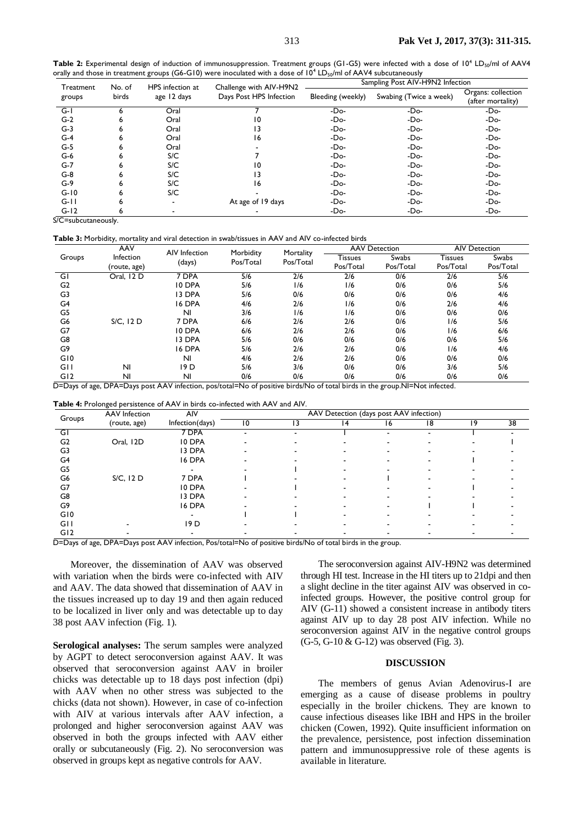|                                                                                                                                          | Table 2: Experimental design of induction of immunosuppression. Treatment groups (G1-G5) were infected with a dose of 10 <sup>4</sup> LD <sub>50</sub> /ml of AAV4 |
|------------------------------------------------------------------------------------------------------------------------------------------|--------------------------------------------------------------------------------------------------------------------------------------------------------------------|
| orally and those in treatment groups (G6-G10) were inoculated with a dose of 10 <sup>4</sup> LD <sub>50</sub> /ml of AAV4 subcutaneously |                                                                                                                                                                    |

| Treatment | No. of | HPS infection at         | Challenge with AIV-H9N2 | Sampling Post AIV-H9N2 Infection |                        |                                         |  |  |
|-----------|--------|--------------------------|-------------------------|----------------------------------|------------------------|-----------------------------------------|--|--|
| groups    | birds  | age 12 days              | Days Post HPS Infection | Bleeding (weekly)                | Swabing (Twice a week) | Organs: collection<br>(after mortality) |  |  |
| $G-I$     |        | Oral                     |                         | $-Do-$                           | -Do-                   | $-Do-$                                  |  |  |
| $G-2$     | ь      | Oral                     | 10                      | -Do-                             | $-Do-$                 | -Do-                                    |  |  |
| $G-3$     | 6      | Oral                     | ۱3                      | $-Do-$                           | $-Do-$                 | $-Do-$                                  |  |  |
| $G-4$     | 6      | Oral                     | 16                      | -Do-                             | $-Do-$                 | $-Do-$                                  |  |  |
| $G-5$     | ь      | Oral                     |                         | $-Do-$                           | $-Do-$                 | -Do-                                    |  |  |
| $G-6$     | ь      | S/C                      |                         | -Do-                             | -Do-                   | -Do-                                    |  |  |
| $G-7$     | 6      | S/C                      | 10                      | $-Do-$                           | $-Do-$                 | -Do-                                    |  |  |
| $G-8$     | ь      | S/C                      | ۱3                      | $-Do-$                           | $-Do-$                 | -Do-                                    |  |  |
| $G-9$     | ь      | S/C                      | 16                      | -Do-                             | $-Do-$                 | -Do-                                    |  |  |
| $G-10$    |        | S/C                      |                         | -Do-                             | $-Do-$                 | -Do-                                    |  |  |
| $G-11$    | 6      | $\overline{\phantom{a}}$ | At age of 19 days       | -Do-                             | $-Do-$                 | -Do-                                    |  |  |
| $G-12$    | ь      |                          |                         | $-Do-$                           | $-Do-$                 | $-Do-$                                  |  |  |

S/C=subcutaneously.

**Table 3:** Morbidity, mortality and viral detection in swab/tissues in AAV and AIV co-infected birds

|                | AAV            | AIV Infection  | Morbidity | Mortality | <b>AAV Detection</b> |           | <b>AIV Detection</b> |           |
|----------------|----------------|----------------|-----------|-----------|----------------------|-----------|----------------------|-----------|
| Groups         | Infection      |                | Pos/Total | Pos/Total | Tissues              | Swabs     | <b>Tissues</b>       | Swabs     |
|                | (route, age)   | (days)         |           |           | Pos/Total            | Pos/Total | Pos/Total            | Pos/Total |
| GI             | Oral, 12 D     | 7 DPA          | 5/6       | 2/6       | 2/6                  | 0/6       | 2/6                  | 5/6       |
| G <sub>2</sub> |                | 10 DPA         | 5/6       | 1/6       | 1/6                  | 0/6       | 0/6                  | 5/6       |
| G3             |                | 13 DPA         | 5/6       | 0/6       | 0/6                  | 0/6       | 0/6                  | 4/6       |
| G4             |                | 16 DPA         | 4/6       | 2/6       | 1/6                  | 0/6       | 2/6                  | 4/6       |
| G5             |                | N <sub>1</sub> | 3/6       | 1/6       | 1/6                  | 0/6       | 0/6                  | 0/6       |
| G6             | S/C, 12 D      | 7 DPA          | 6/6       | 2/6       | 2/6                  | 0/6       | 1/6                  | 5/6       |
| G7             |                | 10 DPA         | 6/6       | 2/6       | 2/6                  | 0/6       | 1/6                  | 6/6       |
| G8             |                | 13 DPA         | 5/6       | 0/6       | 0/6                  | 0/6       | 0/6                  | 5/6       |
| G9             |                | 16 DPA         | 5/6       | 2/6       | 2/6                  | 0/6       | 1/6                  | 4/6       |
| G10            |                | N <sub>1</sub> | 4/6       | 2/6       | 2/6                  | 0/6       | 0/6                  | 0/6       |
| GH             | N <sub>l</sub> | 19 D           | 5/6       | 3/6       | 0/6                  | 0/6       | 3/6                  | 5/6       |
| G12            | N <sub>1</sub> | N <sub>1</sub> | 0/6       | 0/6       | 0/6                  | 0/6       | 0/6                  | 0/6       |

D=Days of age, DPA=Days post AAV infection, pos/total=No of positive birds/No of total birds in the group.NI=Not infected.

**Table 4:** Prolonged persistence of AAV in birds co-infected with AAV and AIV.

|                | <b>AAV</b> Infection | AIV             | AAV Detection (days post AAV infection) |    |   |    |    |    |    |
|----------------|----------------------|-----------------|-----------------------------------------|----|---|----|----|----|----|
| Groups         | (route, age)         | Infection(days) | 10                                      | 13 | 4 | 16 | 18 | 19 | 38 |
| GI             |                      | 7 DPA           |                                         |    |   |    |    |    |    |
| G <sub>2</sub> | Oral, 12D            | 10 DPA          |                                         |    |   |    |    |    |    |
| G3             |                      | 13 DPA          |                                         |    |   |    |    |    |    |
| G4             |                      | 16 DPA          |                                         |    |   |    |    |    |    |
| G5             |                      |                 |                                         |    |   |    |    |    |    |
| G6             | S/C, 12 D            | 7 DPA           |                                         |    |   |    |    |    |    |
| G7             |                      | 10 DPA          |                                         |    |   |    |    |    |    |
| G8             |                      | 13 DPA          |                                         |    |   |    |    |    |    |
| G9             |                      | 16 DPA          |                                         |    |   |    |    |    |    |
| G10            |                      |                 |                                         |    |   |    |    |    |    |
| <b>GII</b>     |                      | 19 <sub>D</sub> |                                         |    |   |    |    |    |    |
| G12            |                      |                 |                                         |    |   |    |    |    |    |

D=Days of age, DPA=Days post AAV infection, Pos/total=No of positive birds/No of total birds in the group.

Moreover, the dissemination of AAV was observed with variation when the birds were co-infected with AIV and AAV. The data showed that dissemination of AAV in the tissues increased up to day 19 and then again reduced to be localized in liver only and was detectable up to day 38 post AAV infection (Fig. 1).

**Serological analyses:** The serum samples were analyzed by AGPT to detect seroconversion against AAV. It was observed that seroconversion against AAV in broiler chicks was detectable up to 18 days post infection (dpi) with AAV when no other stress was subjected to the chicks (data not shown). However, in case of co-infection with AIV at various intervals after AAV infection, a prolonged and higher seroconversion against AAV was observed in both the groups infected with AAV either orally or subcutaneously (Fig. 2). No seroconversion was observed in groups kept as negative controls for AAV.

The seroconversion against AIV-H9N2 was determined through HI test. Increase in the HI titers up to 21dpi and then a slight decline in the titer against AIV was observed in coinfected groups. However, the positive control group for AIV (G-11) showed a consistent increase in antibody titers against AIV up to day 28 post AIV infection. While no seroconversion against AIV in the negative control groups (G-5, G-10 & G-12) was observed (Fig. 3).

### **DISCUSSION**

The members of genus Avian Adenovirus-I are emerging as a cause of disease problems in poultry especially in the broiler chickens. They are known to cause infectious diseases like IBH and HPS in the broiler chicken (Cowen, 1992). Quite insufficient information on the prevalence, persistence, post infection dissemination pattern and immunosuppressive role of these agents is available in literature.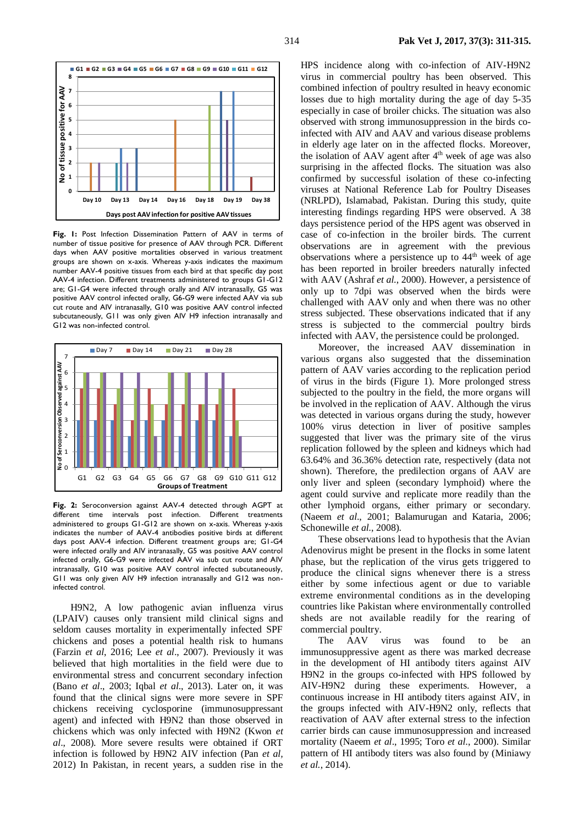

**Fig. 1:** Post Infection Dissemination Pattern of AAV in terms of number of tissue positive for presence of AAV through PCR. Different days when AAV positive mortalities observed in various treatment groups are shown on x-axis. Whereas y-axis indicates the maximum number AAV-4 positive tissues from each bird at that specific day post AAV-4 infection. Different treatments administered to groups G1-G12 are; G1-G4 were infected through orally and AIV intranasally, G5 was positive AAV control infected orally, G6-G9 were infected AAV via sub cut route and AIV intranasally, G10 was positive AAV control infected subcutaneously, G11 was only given AIV H9 infection intranasally and G12 was non-infected control.



**Fig. 2:** Seroconversion against AAV-4 detected through AGPT at different time intervals post infection. Different treatments administered to groups G1-G12 are shown on x-axis. Whereas y-axis indicates the number of AAV-4 antibodies positive birds at different days post AAV-4 infection. Different treatment groups are; G1-G4 were infected orally and AIV intranasally, G5 was positive AAV control infected orally, G6-G9 were infected AAV via sub cut route and AIV intranasally, G10 was positive AAV control infected subcutaneously, G11 was only given AIV H9 infection intranasally and G12 was noninfected control.

H9N2, A low pathogenic avian influenza virus (LPAIV) causes only transient mild clinical signs and seldom causes mortality in experimentally infected SPF chickens and poses a potential health risk to humans (Farzin *et al*, 2016; Lee *et al*., 2007). Previously it was believed that high mortalities in the field were due to environmental stress and concurrent secondary infection (Bano *et al*., 2003; Iqbal *et al*., 2013). Later on, it was found that the clinical signs were more severe in SPF chickens receiving cyclosporine (immunosuppressant agent) and infected with H9N2 than those observed in chickens which was only infected with H9N2 (Kwon *et al*., 2008). More severe results were obtained if ORT infection is followed by H9N2 AIV infection (Pan *et al,* 2012) In Pakistan, in recent years, a sudden rise in the

HPS incidence along with co-infection of AIV-H9N2 virus in commercial poultry has been observed. This combined infection of poultry resulted in heavy economic losses due to high mortality during the age of day 5-35 especially in case of broiler chicks. The situation was also observed with strong immunosuppression in the birds coinfected with AIV and AAV and various disease problems in elderly age later on in the affected flocks. Moreover, the isolation of AAV agent after 4<sup>th</sup> week of age was also surprising in the affected flocks. The situation was also confirmed by successful isolation of these co-infecting viruses at National Reference Lab for Poultry Diseases (NRLPD), Islamabad, Pakistan. During this study, quite interesting findings regarding HPS were observed. A 38 days persistence period of the HPS agent was observed in case of co-infection in the broiler birds. The current observations are in agreement with the previous observations where a persistence up to  $44<sup>th</sup>$  week of age has been reported in broiler breeders naturally infected with AAV (Ashraf *et al*., 2000). However, a persistence of only up to 7dpi was observed when the birds were challenged with AAV only and when there was no other stress subjected. These observations indicated that if any stress is subjected to the commercial poultry birds infected with AAV, the persistence could be prolonged.

Moreover, the increased AAV dissemination in various organs also suggested that the dissemination pattern of AAV varies according to the replication period of virus in the birds (Figure 1). More prolonged stress subjected to the poultry in the field, the more organs will be involved in the replication of AAV. Although the virus was detected in various organs during the study, however 100% virus detection in liver of positive samples suggested that liver was the primary site of the virus replication followed by the spleen and kidneys which had 63.64% and 36.36% detection rate, respectively (data not shown). Therefore, the predilection organs of AAV are only liver and spleen (secondary lymphoid) where the agent could survive and replicate more readily than the other lymphoid organs, either primary or secondary. (Naeem *et al*., 2001; Balamurugan and Kataria, 2006; Schonewille *et al.*, 2008).

These observations lead to hypothesis that the Avian Adenovirus might be present in the flocks in some latent phase, but the replication of the virus gets triggered to produce the clinical signs whenever there is a stress either by some infectious agent or due to variable extreme environmental conditions as in the developing countries like Pakistan where environmentally controlled sheds are not available readily for the rearing of commercial poultry.

The AAV virus was found to be an immunosuppressive agent as there was marked decrease in the development of HI antibody titers against AIV H9N2 in the groups co-infected with HPS followed by AIV-H9N2 during these experiments. However, a continuous increase in HI antibody titers against AIV, in the groups infected with AIV-H9N2 only, reflects that reactivation of AAV after external stress to the infection carrier birds can cause immunosuppression and increased mortality (Naeem *et al*., 1995; Toro *et al*., 2000). Similar pattern of HI antibody titers was also found by (Miniawy *et al.*, 2014).